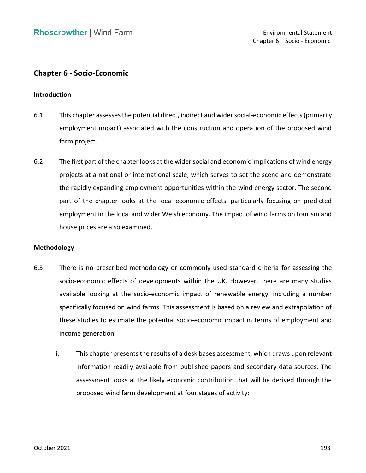# **Chapter 6 - Socio-Economic**

#### **Introduction**

- 6.1 This chapter assesses the potential direct, indirect and wider social-economic effects (primarily employment impact) associated with the construction and operation of the proposed wind farm project.
- 6.2 The first part of the chapter looks at the wider social and economic implications of wind energy projects at a national or international scale, which serves to set the scene and demonstrate the rapidly expanding employment opportunities within the wind energy sector. The second part of the chapter looks at the local economic effects, particularly focusing on predicted employment in the local and wider Welsh economy. The impact of wind farms on tourism and house prices are also examined.

#### **Methodology**

- 6.3 There is no prescribed methodology or commonly used standard criteria for assessing the socio-economic effects of developments within the UK. However, there are many studies available looking at the socio-economic impact of renewable energy, including a number specifically focused on wind farms. This assessment is based on a review and extrapolation of these studies to estimate the potential socio-economic impact in terms of employment and income generation.
	- i. This chapter presents the results of a desk bases assessment, which draws upon relevant information readily available from published papers and secondary data sources. The assessment looks at the likely economic contribution that will be derived through the proposed wind farm development at four stages of activity: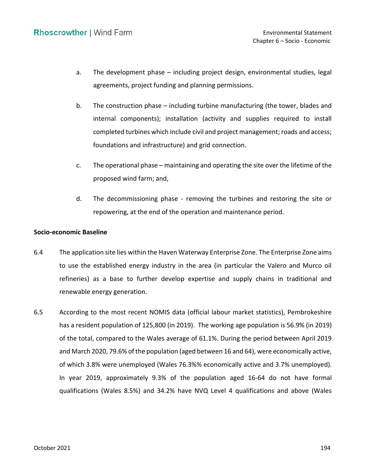- a. The development phase including project design, environmental studies, legal agreements, project funding and planning permissions.
- internal components); installation (activity and supplies required to install completed turbines which include civil and project management; roads and access; foundations and infrastructure) and grid connection. b. The construction phase – including turbine manufacturing (the tower, blades and
- c. The operational phase maintaining and operating the site over the lifetime of the proposed wind farm; and,
- d. The decommissioning phase removing the turbines and restoring the site or repowering, at the end of the operation and maintenance period.

# **Socio-economic Baseline**

- 6.4 The application site lies within the Haven Waterway Enterprise Zone. The Enterprise Zone aims to use the established energy industry in the area (in particular the Valero and Murco oil refineries) as a base to further develop expertise and supply chains in traditional and renewable energy generation.
- 6.5 According to the most recent NOMIS data (official labour market statistics), Pembrokeshire has a resident population of 125,800 (in 2019). The working age population is 56.9% (in 2019) of the total, compared to the Wales average of 61.1%. During the period between April 2019 and March 2020, 79.6% of the population (aged between 16 and 64), were economically active, of which 3.8% were unemployed (Wales 76.3%% economically active and 3.7% unemployed). In year 2019, approximately 9.3% of the population aged 16-64 do not have formal qualifications (Wales 8.5%) and 34.2% have NVQ Level 4 qualifications and above (Wales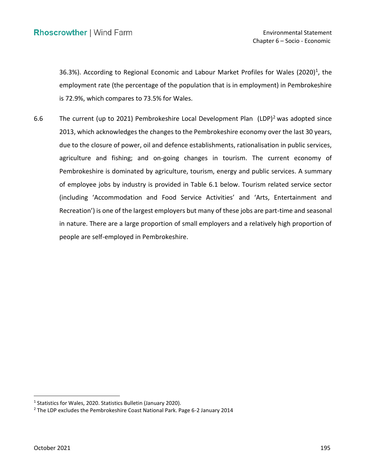36.3%). According to Regional Economic and Labour Market Profiles for Wales (2020)<sup>1</sup>, the employment rate (the percentage of the population that is in employment) in Pembrokeshire is 72.9%, which compares to 73.5% for Wales.

6.6 The current (up to 2021) Pembrokeshire Local Development Plan  $(LDP)^2$  was adopted since 2013, which acknowledges the changes to the Pembrokeshire economy over the last 30 years, due to the closure of power, oil and defence establishments, rationalisation in public services, agriculture and fishing; and on-going changes in tourism. The current economy of Pembrokeshire is dominated by agriculture, tourism, energy and public services. A summary of employee jobs by industry is provided in Table 6.1 below. Tourism related service sector (including 'Accommodation and Food Service Activities' and 'Arts, Entertainment and Recreation') is one of the largest employers but many of these jobs are part-time and seasonal in nature. There are a large proportion of small employers and a relatively high proportion of people are self-employed in Pembrokeshire.

<sup>&</sup>lt;sup>1</sup> Statistics for Wales, 2020. Statistics Bulletin (January 2020).

<sup>&</sup>lt;sup>2</sup> The LDP excludes the Pembrokeshire Coast National Park. Page 6-2 January 2014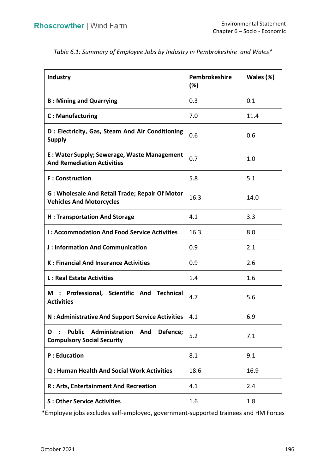| Industry                                                                                                       | Pembrokeshire<br>$(\%)$ | Wales (%) |
|----------------------------------------------------------------------------------------------------------------|-------------------------|-----------|
| <b>B: Mining and Quarrying</b>                                                                                 | 0.3                     | 0.1       |
| <b>C: Manufacturing</b>                                                                                        | 7.0                     | 11.4      |
| D: Electricity, Gas, Steam And Air Conditioning<br><b>Supply</b>                                               | 0.6                     | 0.6       |
| E: Water Supply; Sewerage, Waste Management<br><b>And Remediation Activities</b>                               | 0.7                     | 1.0       |
| <b>F</b> : Construction                                                                                        | 5.8                     | 5.1       |
| G: Wholesale And Retail Trade; Repair Of Motor<br><b>Vehicles And Motorcycles</b>                              | 16.3                    | 14.0      |
| <b>H: Transportation And Storage</b>                                                                           | 4.1                     | 3.3       |
| <b>I: Accommodation And Food Service Activities</b>                                                            | 16.3                    | 8.0       |
| <b>J: Information And Communication</b>                                                                        | 0.9                     | 2.1       |
| <b>K: Financial And Insurance Activities</b>                                                                   | 0.9                     | 2.6       |
| <b>L: Real Estate Activities</b>                                                                               | 1.4                     | 1.6       |
| M : Professional, Scientific And Technical<br><b>Activities</b>                                                | 4.7                     | 5.6       |
| N : Administrative And Support Service Activities                                                              | 4.1                     | 6.9       |
| <b>Public</b><br>Administration<br>And<br>Defence;<br>O<br>$\ddot{\cdot}$<br><b>Compulsory Social Security</b> | 5.2                     | 7.1       |
| <b>P</b> : Education                                                                                           | 8.1                     | 9.1       |
| Q: Human Health And Social Work Activities                                                                     | 18.6                    | 16.9      |
| R : Arts, Entertainment And Recreation                                                                         | 4.1                     | 2.4       |
| <b>S: Other Service Activities</b>                                                                             | 1.6                     | 1.8       |

 *Table 6.1: Summary of Employee Jobs by Industry in Pembrokeshire and Wales\** 

\*Employee jobs excludes self-employed, government-supported trainees and HM Forces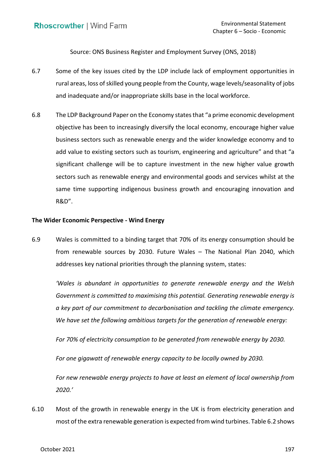Source: ONS Business Register and Employment Survey (ONS, 2018)

- 6.7 Some of the key issues cited by the LDP include lack of employment opportunities in rural areas, loss of skilled young people from the County, wage levels/seasonality of jobs and inadequate and/or inappropriate skills base in the local workforce.
- 6.8 The LDP Background Paper on the Economy statesthat "a prime economic development objective has been to increasingly diversify the local economy, encourage higher value business sectors such as renewable energy and the wider knowledge economy and to add value to existing sectors such as tourism, engineering and agriculture" and that "a significant challenge will be to capture investment in the new higher value growth sectors such as renewable energy and environmental goods and services whilst at the same time supporting indigenous business growth and encouraging innovation and R&D".

# **The Wider Economic Perspective - Wind Energy**

 6.9 Wales is committed to a binding target that 70% of its energy consumption should be from renewable sources by 2030. Future Wales – The National Plan 2040, which addresses key national priorities through the planning system, states:

 *'Wales is abundant in opportunities to generate renewable energy and the Welsh Government is committed to maximising this potential. Generating renewable energy is a key part of our commitment to decarbonisation and tackling the climate emergency. We have set the following ambitious targets for the generation of renewable energy:* 

 *For 70% of electricity consumption to be generated from renewable energy by 2030.* 

For one gigawatt of renewable energy capacity to be locally owned by 2030.

 *For new renewable energy projects to have at least an element of local ownership from 2020.'*

 6.10 Most of the growth in renewable energy in the UK is from electricity generation and most of the extra renewable generation is expected from wind turbines. Table 6.2 shows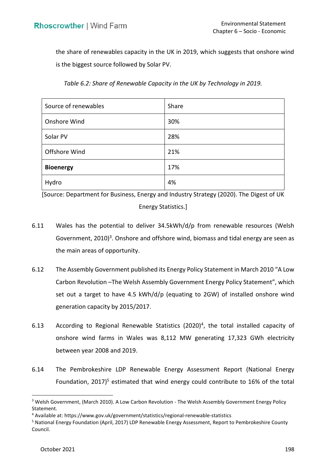the share of renewables capacity in the UK in 2019, which suggests that onshore wind is the biggest source followed by Solar PV.

| Source of renewables | Share |
|----------------------|-------|
| Onshore Wind         | 30%   |
| Solar PV             | 28%   |
| Offshore Wind        | 21%   |
| <b>Bioenergy</b>     | 17%   |
| Hydro                | 4%    |

 *Table 6.2: Share of Renewable Capacity in the UK by Technology in 2019.* 

 [Source: Department for Business, Energy and Industry Strategy (2020). The Digest of UK Energy Statistics.]

- 6.11 Wales has the potential to deliver 34.5kWh/d/p from renewable resources (Welsh Government, 2010)<sup>3</sup>. Onshore and offshore wind, biomass and tidal energy are seen as the main areas of opportunity.
- 6.12 The Assembly Government published its Energy Policy Statement in March 2010 "A Low Carbon Revolution –The Welsh Assembly Government Energy Policy Statement", which set out a target to have 4.5 kWh/d/p (equating to 2GW) of installed onshore wind generation capacity by 2015/2017.
- 6.13 According to Regional Renewable Statistics  $(2020)^4$ , the total installed capacity of onshore wind farms in Wales was 8,112 MW generating 17,323 GWh electricity between year 2008 and 2019.
- 6.14 The Pembrokeshire LDP Renewable Energy Assessment Report (National Energy Foundation, 2017)<sup>5</sup> estimated that wind energy could contribute to 16% of the total

<sup>3</sup> Welsh Government, (March 2010). A Low Carbon Revolution - The Welsh Assembly Government Energy Policy Statement.

<sup>&</sup>lt;sup>4</sup> Available at: https://www.gov.uk/government/statistics/regional-renewable-statistics<br><sup>5</sup> National Energy Foundation (April, 2017) LDP Renewable Energy Assessment, Report to Pembrokeshire County Council. Council.<br>October 2021 198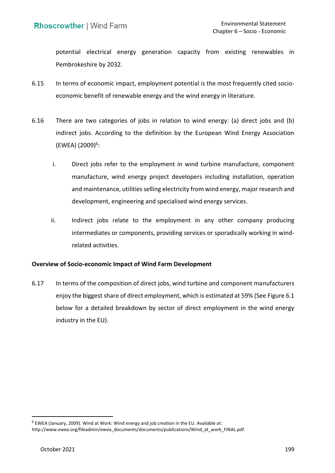potential electrical energy generation capacity from existing renewables in Pembrokeshire by 2032.

- 6.15 In terms of economic impact, employment potential is the most frequently cited socio-economic benefit of renewable energy and the wind energy in literature.
- 6.16 There are two categories of jobs in relation to wind energy: (a) direct jobs and (b) indirect jobs. According to the definition by the European Wind Energy Association  $(EWEA) (2009)^6$ :
	- i. Direct jobs refer to the employment in wind turbine manufacture, component manufacture, wind energy project developers including installation, operation and maintenance, utilities selling electricity from wind energy, major research and development, engineering and specialised wind energy services.
	- ii. Indirect jobs relate to the employment in any other company producing intermediates or components, providing services or sporadically working in windrelated activities.

# **Overview of Socio-economic Impact of Wind Farm Development**

6.17 In terms of the composition of direct jobs, wind turbine and component manufacturers enjoy the biggest share of direct employment, which is estimated at 59% (See Figure 6.1 below for a detailed breakdown by sector of direct employment in the wind energy industry in the EU).

<sup>6</sup> EWEA (January, 2009). Wind at Work: Wind energy and job creation in the EU. Available at:

[http://www.ewea.org/fileadmin/ewea\\_documents/documents/publications/Wind\\_at\\_work\\_FINAL.pdf.](http://www.ewea.org/fileadmin/ewea_documents/documents/publications/Wind_at_work_FINAL.pdf)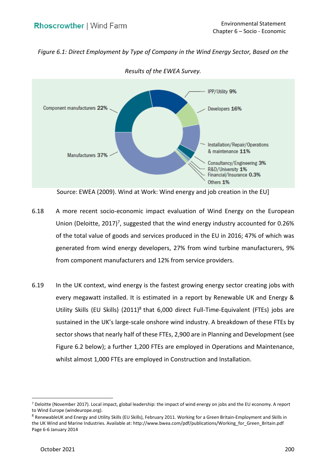*Figure 6.1: Direct Employment by Type of Company in the Wind Energy Sector, Based on the* 



 *Results of the EWEA Survey.* 

- 6.18 A more recent socio-economic impact evaluation of Wind Energy on the European Union (Deloitte, 2017)<sup>7</sup>, suggested that the wind energy industry accounted for 0.26% of the total value of goods and services produced in the EU in 2016; 47% of which was generated from wind energy developers, 27% from wind turbine manufacturers, 9% from component manufacturers and 12% from service providers.
- 6.19 In the UK context, wind energy is the fastest growing energy sector creating jobs with every megawatt installed. It is estimated in a report by Renewable UK and Energy & Utility Skills (EU Skills) (2011)<sup>8</sup> that 6,000 direct Full-Time-Equivalent (FTEs) jobs are sustained in the UK's large-scale onshore wind industry. A breakdown of these FTEs by sector shows that nearly half of these FTEs, 2,900 are in Planning and Development (see Figure 6.2 below); a further 1,200 FTEs are employed in Operations and Maintenance, whilst almost 1,000 FTEs are employed in Construction and Installation.

 Source: EWEA (2009). Wind at Work: Wind energy and job creation in the EU]

<sup>7</sup> Deloitte (November 2017). Local impact, global leadership: the impact of wind energy on jobs and the EU economy. A report to Wind Europe ([windeurope.org](https://windeurope.org)).<br><sup>8</sup> RenewableUK and Energy and Utility Skills (EU Skills), February 2011. Working for a Green Britain-Employment and Skills in

Page 6-6 January 2014 the UK Wind and Marine Industries. Available at: http://www.bwea.com/pdf/publications/Working for Green Britain.pdf Page 6-6 January 2014<br>
October 2021<br>
200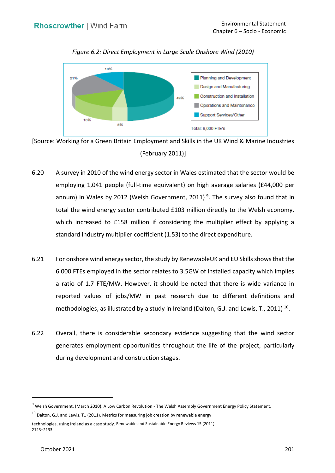

 *Figure 6.2: Direct Employment in Large Scale Onshore Wind (2010)* 

 [Source: Working for a Green Britain Employment and Skills in the UK Wind & Marine Industries (February 2011)]

- 6.20 A survey in 2010 of the wind energy sector in Wales estimated that the sector would be employing 1,041 people (full-time equivalent) on high average salaries (£44,000 per annum) in Wales by 2012 (Welsh Government, 2011)<sup>9</sup>. The survey also found that in total the wind energy sector contributed £103 million directly to the Welsh economy, which increased to £158 million if considering the multiplier effect by applying a standard industry multiplier coefficient (1.53) to the direct expenditure.
- 6.21 For onshore wind energy sector, the study by RenewableUK and EU Skills shows that the 6,000 FTEs employed in the sector relates to 3.5GW of installed capacity which implies a ratio of 1.7 FTE/MW. However, it should be noted that there is wide variance in reported values of jobs/MW in past research due to different definitions and methodologies, as illustrated by a study in Ireland (Dalton, G.J. and Lewis, T., 2011)<sup>10</sup>.
- 6.22 Overall, there is considerable secondary evidence suggesting that the wind sector generates employment opportunities throughout the life of the project, particularly during development and construction stages.

<sup>9</sup> Welsh Government, (March 2010). A Low Carbon Revolution - The Welsh Assembly Government Energy Policy Statement.

 $10$  Dalton, G.J. and Lewis, T., (2011). Metrics for measuring job creation by renewable energy

technologies, using Ireland as a case study. Renewable and Sustainable Energy Reviews 15 (2011) 2123–2133.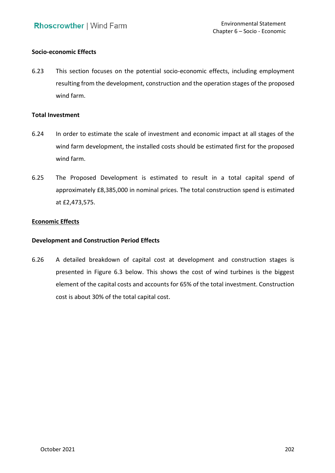## **Socio-economic Effects**

 6.23 This section focuses on the potential socio-economic effects, including employment resulting from the development, construction and the operation stages of the proposed wind farm.

### **Total Investment**

- 6.24 In order to estimate the scale of investment and economic impact at all stages of the wind farm development, the installed costs should be estimated first for the proposed wind farm.
- 6.25 The Proposed Development is estimated to result in a total capital spend of approximately £8,385,000 in nominal prices. The total construction spend is estimated at £2,473,575.

## **Economic Effects**

# **Development and Construction Period Effects**

 6.26 A detailed breakdown of capital cost at development and construction stages is presented in Figure 6.3 below. This shows the cost of wind turbines is the biggest element of the capital costs and accounts for 65% of the total investment. Construction cost is about 30% of the total capital cost.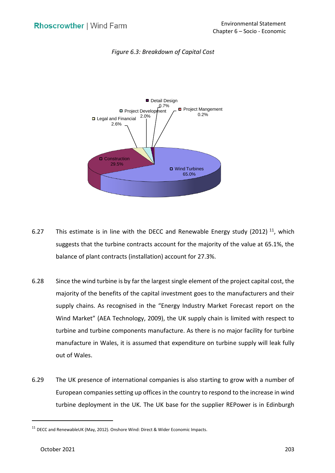

#### *Figure 6.3: Breakdown of Capital Cost*

- 6.27 This estimate is in line with the DECC and Renewable Energy study (2012)  $^{11}$ , which suggests that the turbine contracts account for the majority of the value at 65.1%, the balance of plant contracts (installation) account for 27.3%.
- 6.28 Since the wind turbine is by far the largest single element of the project capital cost, the majority of the benefits of the capital investment goes to the manufacturers and their supply chains. As recognised in the "Energy Industry Market Forecast report on the Wind Market" (AEA Technology, 2009), the UK supply chain is limited with respect to turbine and turbine components manufacture. As there is no major facility for turbine manufacture in Wales, it is assumed that expenditure on turbine supply will leak fully out of Wales.
- 6.29 The UK presence of international companies is also starting to grow with a number of European companies setting up offices in the country to respond to the increase in wind turbine deployment in the UK. The UK base for the supplier REPower is in Edinburgh

 $11$  DECC and RenewableUK (May, 2012). Onshore Wind: Direct & Wider Economic Impacts.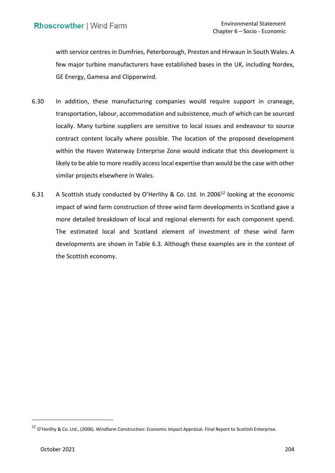with service centres in Dumfries, Peterborough, Preston and Hirwaun in South Wales. A few major turbine manufacturers have established bases in the UK, including Nordex, GE Energy, Gamesa and Clipperwind.

- 6.30 In addition, these manufacturing companies would require support in craneage, transportation, labour, accommodation and subsistence, much of which can be sourced locally. Many turbine suppliers are sensitive to local issues and endeavour to source contract content locally where possible. The location of the proposed development within the Haven Waterway Enterprise Zone would indicate that this development is likely to be able to more readily access local expertise than would be the case with other similar projects elsewhere in Wales.
- 6.31 A Scottish study conducted by O'Herlihy & Co. Ltd. In 2006<sup>12</sup> looking at the economic impact of wind farm construction of three wind farm developments in Scotland gave a more detailed breakdown of local and regional elements for each component spend. The estimated local and Scotland element of investment of these wind farm developments are shown in Table 6.3. Although these examples are in the context of the Scottish economy.

<sup>&</sup>lt;sup>12</sup> O'Herlihy & Co. Ltd., (2006). Windfarm Construction: Economic Impact Appraisal. Final Report to Scottish Enterprise.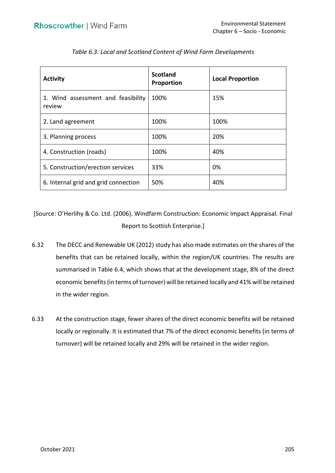| <b>Activity</b>                              | <b>Scotland</b><br>Proportion | <b>Local Proportion</b> |
|----------------------------------------------|-------------------------------|-------------------------|
| 1. Wind assessment and feasibility<br>review | 100%                          | 15%                     |
| 2. Land agreement                            | 100%                          | 100%                    |
| 3. Planning process                          | 100%                          | 20%                     |
| 4. Construction (roads)                      | 100%                          | 40%                     |
| 5. Construction/erection services            | 33%                           | 0%                      |
| 6. Internal grid and grid connection         | 50%                           | 40%                     |

 *Table 6.3: Local and Scotland Content of Wind Farm Developments* 

 [Source: O'Herlihy & Co. Ltd. (2006). Windfarm Construction: Economic Impact Appraisal. Final Report to Scottish Enterprise.]

- 6.32 The DECC and Renewable UK (2012) study has also made estimates on the shares of the benefits that can be retained locally, within the region/UK countries. The results are summarised in Table 6.4, which shows that at the development stage, 8% of the direct economic benefits (in terms of turnover) will be retained locally and 41% will be retained in the wider region.
- 6.33 At the construction stage, fewer shares of the direct economic benefits will be retained locally or regionally. It is estimated that 7% of the direct economic benefits (in terms of turnover) will be retained locally and 29% will be retained in the wider region.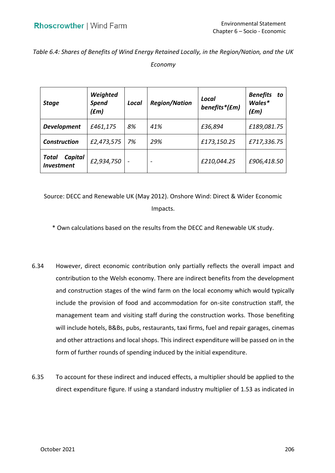# *Table 6.4: Shares of Benefits of Wind Energy Retained Locally, in the Region/Nation, and the UK Economy*

| <b>Stage</b>                                 | Weighted<br><b>Spend</b><br>(fm) | Local                    | <b>Region/Nation</b>     | Local<br>benefits*(£m) | <b>Benefits</b><br>to<br>Wales*<br>(£m) |
|----------------------------------------------|----------------------------------|--------------------------|--------------------------|------------------------|-----------------------------------------|
| <b>Development</b>                           | £461,175                         | 8%                       | 41%                      | £36,894                | £189,081.75                             |
| <b>Construction</b>                          | £2,473,575                       | 7%                       | 29%                      | £173,150.25            | £717,336.75                             |
| Capital<br>Total<br><i><b>Investment</b></i> | £2,934,750                       | $\overline{\phantom{a}}$ | $\overline{\phantom{0}}$ | £210,044.25            | £906,418.50                             |

 Source: DECC and Renewable UK (May 2012). Onshore Wind: Direct & Wider Economic Impacts.

\* Own calculations based on the results from the DECC and Renewable UK study.

- 6.34 However, direct economic contribution only partially reflects the overall impact and contribution to the Welsh economy. There are indirect benefits from the development and construction stages of the wind farm on the local economy which would typically include the provision of food and accommodation for on-site construction staff, the management team and visiting staff during the construction works. Those benefiting and other attractions and local shops. This indirect expenditure will be passed on in the form of further rounds of spending induced by the initial expenditure. will include hotels, B&Bs, pubs, restaurants, taxi firms, fuel and repair garages, cinemas
- 6.35 To account for these indirect and induced effects, a multiplier should be applied to the direct expenditure figure. If using a standard industry multiplier of 1.53 as indicated in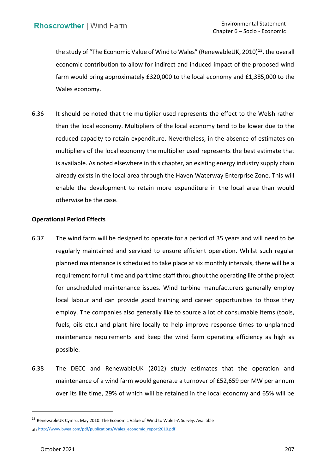the study of "The Economic Value of Wind to Wales" (RenewableUK, 2010)<sup>13</sup>, the overall economic contribution to allow for indirect and induced impact of the proposed wind farm would bring approximately £320,000 to the local economy and £1,385,000 to the Wales economy.

 6.36 It should be noted that the multiplier used represents the effect to the Welsh rather than the local economy. Multipliers of the local economy tend to be lower due to the reduced capacity to retain expenditure. Nevertheless, in the absence of estimates on multipliers of the local economy the multiplier used represents the best estimate that is available. As noted elsewhere in this chapter, an existing energy industry supply chain already exists in the local area through the Haven Waterway Enterprise Zone. This will enable the development to retain more expenditure in the local area than would otherwise be the case.

# **Operational Period Effects**

- 6.37 The wind farm will be designed to operate for a period of 35 years and will need to be regularly maintained and serviced to ensure efficient operation. Whilst such regular planned maintenance is scheduled to take place at six monthly intervals, there will be a requirement for full time and part time staff throughout the operating life of the project local labour and can provide good training and career opportunities to those they employ. The companies also generally like to source a lot of consumable items (tools, fuels, oils etc.) and plant hire locally to help improve response times to unplanned maintenance requirements and keep the wind farm operating efficiency as high as for unscheduled maintenance issues. Wind turbine manufacturers generally employ possible.
- 6.38 The DECC and RenewableUK (2012) study estimates that the operation and maintenance of a wind farm would generate a turnover of £52,659 per MW per annum over its life time, 29% of which will be retained in the local economy and 65% will be

<sup>13</sup> RenewableUK Cymru, May 2010. The Economic Value of Wind to Wales-A Survey. Available at: [http://www.bwea.com/pdf/publications/Wales\\_economic\\_report2010.pdf](http://www.bwea.com/pdf/publications/Wales_economic_report2010.pdf)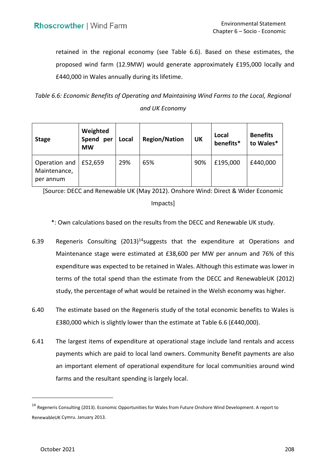retained in the regional economy (see Table 6.6). Based on these estimates, the proposed wind farm (12.9MW) would generate approximately £195,000 locally and £440,000 in Wales annually during its lifetime.

 *Table 6.6: Economic Benefits of Operating and Maintaining Wind Farms to the Local, Regional and UK Economy* 

| <b>Stage</b>                               | Weighted<br>Spend<br>per<br><b>MW</b> | Local | <b>Region/Nation</b> | UK  | Local<br>benefits* | <b>Benefits</b><br>to Wales* |
|--------------------------------------------|---------------------------------------|-------|----------------------|-----|--------------------|------------------------------|
| Operation and<br>Maintenance,<br>per annum | £52,659                               | 29%   | 65%                  | 90% | £195,000           | £440,000                     |

 [Source: DECC and Renewable UK (May 2012). Onshore Wind: Direct & Wider Economic Impacts]

\*: Own calculations based on the results from the DECC and Renewable UK study.

- 6.39 Regeneris Consulting  $(2013)^{14}$ suggests that the expenditure at Operations and Maintenance stage were estimated at £38,600 per MW per annum and 76% of this expenditure was expected to be retained in Wales. Although this estimate was lower in terms of the total spend than the estimate from the DECC and RenewableUK (2012) study, the percentage of what would be retained in the Welsh economy was higher.
- £380,000 which is slightly lower than the estimate at Table 6.6 (£440,000). 6.40 The estimate based on the Regeneris study of the total economic benefits to Wales is
- 6.41 The largest items of expenditure at operational stage include land rentals and access payments which are paid to local land owners. Community Benefit payments are also an important element of operational expenditure for local communities around wind farms and the resultant spending is largely local.

<sup>&</sup>lt;sup>14</sup> Regeneris Consulting (2013). Economic Opportunities for Wales from Future Onshore Wind Development. A report to RenewableUK Cymru. January 2013.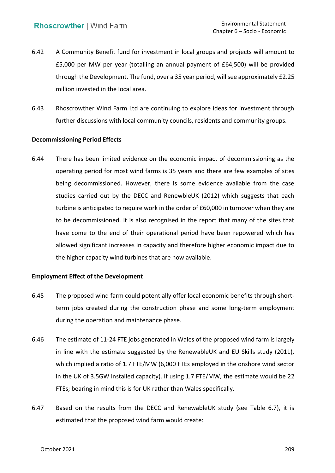- 6.42 A Community Benefit fund for investment in local groups and projects will amount to £5,000 per MW per year (totalling an annual payment of £64,500) will be provided through the Development. The fund, over a 35 year period, will see approximately £2.25 million invested in the local area.
- 6.43 Rhoscrowther Wind Farm Ltd are continuing to explore ideas for investment through further discussions with local community councils, residents and community groups.

## **Decommissioning Period Effects**

 6.44 There has been limited evidence on the economic impact of decommissioning as the operating period for most wind farms is 35 years and there are few examples of sites being decommissioned. However, there is some evidence available from the case studies carried out by the DECC and RenewbleUK (2012) which suggests that each turbine is anticipated to require work in the order of £60,000 in turnover when they are to be decommissioned. It is also recognised in the report that many of the sites that have come to the end of their operational period have been repowered which has allowed significant increases in capacity and therefore higher economic impact due to the higher capacity wind turbines that are now available.

### **Employment Effect of the Development**

- 6.45 The proposed wind farm could potentially offer local economic benefits through short- term jobs created during the construction phase and some long-term employment during the operation and maintenance phase.
- 6.46 The estimate of 11-24 FTE jobs generated in Wales of the proposed wind farm is largely in line with the estimate suggested by the RenewableUK and EU Skills study (2011), which implied a ratio of 1.7 FTE/MW (6,000 FTEs employed in the onshore wind sector in the UK of 3.5GW installed capacity). If using 1.7 FTE/MW, the estimate would be 22 FTEs; bearing in mind this is for UK rather than Wales specifically.
- 6.47 Based on the results from the DECC and RenewableUK study (see Table 6.7), it is estimated that the proposed wind farm would create: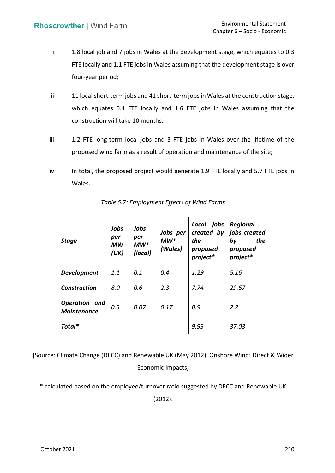- i. 1.8 local job and 7 jobs in Wales at the development stage, which equates to 0.3 FTE locally and 1.1 FTE jobs in Wales assuming that the development stage is over four-year period;
- ii. 11 local short-term jobs and 41 short-term jobs in Wales at the construction stage, which equates 0.4 FTE locally and 1.6 FTE jobs in Wales assuming that the construction will take 10 months;
- iii. 1.2 FTE long-term local jobs and 3 FTE jobs in Wales over the lifetime of the proposed wind farm as a result of operation and maintenance of the site;
- iv. In total, the proposed project would generate 1.9 FTE locally and 5.7 FTE jobs in Wales.

| <b>Stage</b>                        | Jobs<br>per<br>МW<br>(UK) | Jobs<br>per<br>$MW*$<br>(local) | Jobs per<br>$MW*$<br>(Wales) | Local jobs<br>created by<br>the<br>proposed<br>project* | Regional<br>jobs created<br>by<br>the<br>proposed<br>project* |
|-------------------------------------|---------------------------|---------------------------------|------------------------------|---------------------------------------------------------|---------------------------------------------------------------|
| <b>Development</b>                  | 1.1                       | 0.1                             | 0.4                          | 1.29                                                    | 5.16                                                          |
| <b>Construction</b>                 | 8.0                       | 0.6                             | 2.3                          | 7.74                                                    | 29.67                                                         |
| Operation and<br><b>Maintenance</b> | 0.3                       | 0.07                            | 0.17                         | 0.9                                                     | 2.2                                                           |
| Total*                              |                           |                                 |                              | 9.93                                                    | 37.03                                                         |

 *Table 6.7: Employment Effects of Wind Farms* 

 [Source: Climate Change (DECC) and Renewable UK (May 2012). Onshore Wind: Direct & Wider Economic Impacts]

\* calculated based on the employee/turnover ratio suggested by DECC and Renewable UK

(2012).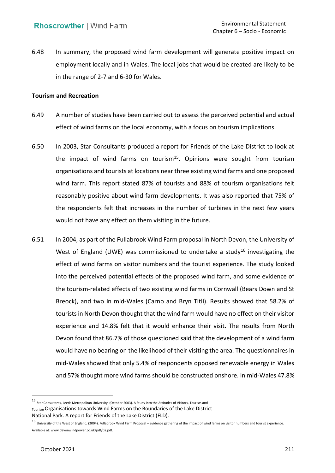6.48 In summary, the proposed wind farm development will generate positive impact on employment locally and in Wales. The local jobs that would be created are likely to be in the range of 2-7 and 6-30 for Wales.

### **Tourism and Recreation**

- 6.49 A number of studies have been carried out to assess the perceived potential and actual effect of wind farms on the local economy, with a focus on tourism implications.
- 6.50 In 2003, Star Consultants produced a report for Friends of the Lake District to look at the impact of wind farms on tourism<sup>15</sup>. Opinions were sought from tourism organisations and tourists at locations near three existing wind farms and one proposed wind farm. This report stated 87% of tourists and 88% of tourism organisations felt reasonably positive about wind farm developments. It was also reported that 75% of the respondents felt that increases in the number of turbines in the next few years would not have any effect on them visiting in the future.
- 6.51 In 2004, as part of the Fullabrook Wind Farm proposal in North Devon, the University of West of England (UWE) was commissioned to undertake a study<sup>16</sup> investigating the effect of wind farms on visitor numbers and the tourist experience. The study looked into the perceived potential effects of the proposed wind farm, and some evidence of the tourism-related effects of two existing wind farms in Cornwall (Bears Down and St Breock), and two in mid-Wales (Carno and Bryn Titli). Results showed that 58.2% of tourists in North Devon thought that the wind farm would have no effect on their visitor experience and 14.8% felt that it would enhance their visit. The results from North Devon found that 86.7% of those questioned said that the development of a wind farm would have no bearing on the likelihood of their visiting the area. The questionnaires in mid-Wales showed that only 5.4% of respondents opposed renewable energy in Wales and 57% thought more wind farms should be constructed onshore. In mid-Wales 47.8%

 15 Star Consultants, Leeds Metropolitan University, (October 2003). A Study into the Attitudes of Visitors, Tourists and Tourism Organisations towards Wind Farms on the Boundaries of the Lake District

National Park. A report for Friends of the Lake District (FLD).<br><sup>16</sup> University of the West of England, (2004). Fullabrook Wind Farm Proposal – evidence gathering of the impact of wind farms on visitor numbers and tourist Available at:<www.devonwindpower.co.uk/pdf/tia.pdf>.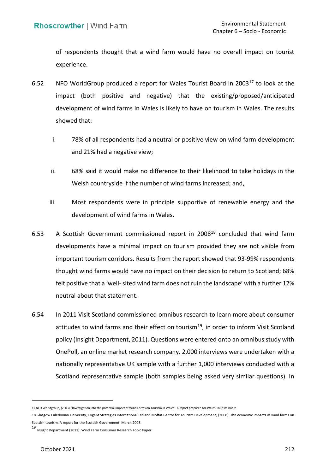of respondents thought that a wind farm would have no overall impact on tourist experience.

- 6.52 NFO WorldGroup produced a report for Wales Tourist Board in 2003 $^{17}$  to look at the impact (both positive and negative) that the existing/proposed/anticipated development of wind farms in Wales is likely to have on tourism in Wales. The results showed that:
	- i. 78% of all respondents had a neutral or positive view on wind farm development and 21% had a negative view;
	- ii. 68% said it would make no difference to their likelihood to take holidays in the Welsh countryside if the number of wind farms increased; and,
	- iii. Most respondents were in principle supportive of renewable energy and the development of wind farms in Wales.
- 6.53 A Scottish Government commissioned report in 2008<sup>18</sup> concluded that wind farm developments have a minimal impact on tourism provided they are not visible from important tourism corridors. Results from the report showed that 93-99% respondents thought wind farms would have no impact on their decision to return to Scotland; 68% felt positive that a 'well-sited wind farm does not ruin the landscape' with a further 12% neutral about that statement.
- 6.54 In 2011 Visit Scotland commissioned omnibus research to learn more about consumer attitudes to wind farms and their effect on tourism<sup>19</sup>, in order to inform Visit Scotland policy (Insight Department, 2011). Questions were entered onto an omnibus study with OnePoll, an online market research company. 2,000 interviews were undertaken with a nationally representative UK sample with a further 1,000 interviews conducted with a Scotland representative sample (both samples being asked very similar questions). In

 17 NFO Worldgroup, (2003). 'Investigation into the potential Impact of Wind Farms on Tourism in Wales'. A report prepared for Wales Tourism Board.

 Scottish tourism. A report for the Scottish Government. March 2008. 18 Glasgow Caledonian University, Cogent Strategies International Ltd and Moffat Centre for Tourism Development, (2008). The economic impacts of wind farms on

<sup>19&</sup>lt;br>Insight Department (2011). Wind Farm Consumer Research Topic Paper.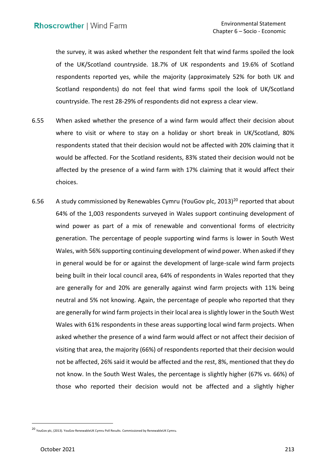the survey, it was asked whether the respondent felt that wind farms spoiled the look of the UK/Scotland countryside. 18.7% of UK respondents and 19.6% of Scotland respondents reported yes, while the majority (approximately 52% for both UK and Scotland respondents) do not feel that wind farms spoil the look of UK/Scotland countryside. The rest 28-29% of respondents did not express a clear view.

- 6.55 When asked whether the presence of a wind farm would affect their decision about where to visit or where to stay on a holiday or short break in UK/Scotland, 80% respondents stated that their decision would not be affected with 20% claiming that it would be affected. For the Scotland residents, 83% stated their decision would not be affected by the presence of a wind farm with 17% claiming that it would affect their choices.
- 6.56 A study commissioned by Renewables Cymru (YouGov plc, 2013)<sup>20</sup> reported that about 64% of the 1,003 respondents surveyed in Wales support continuing development of wind power as part of a mix of renewable and conventional forms of electricity generation. The percentage of people supporting wind farms is lower in South West Wales, with 56% supporting continuing development of wind power. When asked if they in general would be for or against the development of large-scale wind farm projects being built in their local council area, 64% of respondents in Wales reported that they are generally for and 20% are generally against wind farm projects with 11% being neutral and 5% not knowing. Again, the percentage of people who reported that they are generally for wind farm projects in their local area is slightly lower in the South West Wales with 61% respondents in these areas supporting local wind farm projects. When asked whether the presence of a wind farm would affect or not affect their decision of visiting that area, the majority (66%) of respondents reported that their decision would not be affected, 26% said it would be affected and the rest, 8%, mentioned that they do not know. In the South West Wales, the percentage is slightly higher (67% vs. 66%) of those who reported their decision would not be affected and a slightly higher

<sup>20</sup> YouGov plc, (2013). YouGov RenewableUK Cymru Poll Results. Commissioned by RenewableUK Cymru.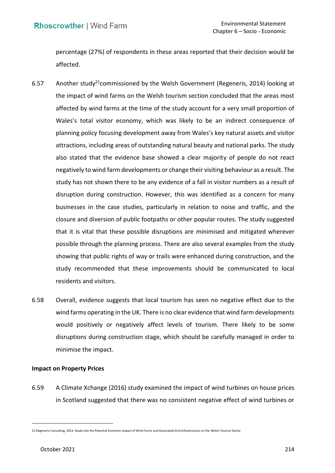percentage (27%) of respondents in these areas reported that their decision would be affected.

- 6.57 Another study<sup>21</sup> commissioned by the Welsh Government (Regeneris, 2014) looking at the impact of wind farms on the Welsh tourism section concluded that the areas most affected by wind farms at the time of the study account for a very small proportion of planning policy focusing development away from Wales's key natural assets and visitor attractions, including areas of outstanding natural beauty and national parks. The study also stated that the evidence base showed a clear majority of people do not react negatively to wind farm developments or change their visiting behaviour as a result. The study has not shown there to be any evidence of a fall in visitor numbers as a result of disruption during construction. However, this was identified as a concern for many businesses in the case studies, particularly in relation to noise and traffic, and the closure and diversion of public footpaths or other popular routes. The study suggested that it is vital that these possible disruptions are minimised and mitigated wherever possible through the planning process. There are also several examples from the study showing that public rights of way or trails were enhanced during construction, and the study recommended that these improvements should be communicated to local Wales's total visitor economy, which was likely to be an indirect consequence of residents and visitors.
- 6.58 Overall, evidence suggests that local tourism has seen no negative effect due to the wind farms operating in the UK. There is no clear evidence that wind farm developments would positively or negatively affect levels of tourism. There likely to be some disruptions during construction stage, which should be carefully managed in order to minimise the impact.

## **Impact on Property Prices**

 6.59 A Climate Xchange (2016) study examined the impact of wind turbines on house prices in Scotland suggested that there was no consistent negative effect of wind turbines or

 21 Regeneris Consulting, 2014. Study into the Potential Economic Impact of Wind Farms and Associated Grid Infrastructure on the Welsh Tourism Sector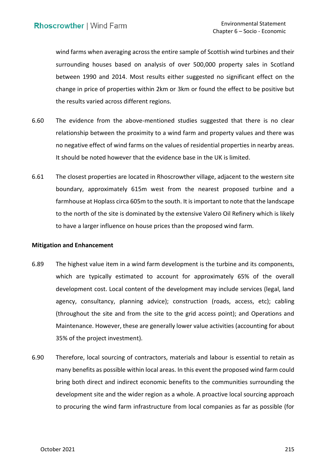wind farms when averaging across the entire sample of Scottish wind turbines and their surrounding houses based on analysis of over 500,000 property sales in Scotland between 1990 and 2014. Most results either suggested no significant effect on the change in price of properties within 2km or 3km or found the effect to be positive but the results varied across different regions.

- 6.60 The evidence from the above-mentioned studies suggested that there is no clear relationship between the proximity to a wind farm and property values and there was no negative effect of wind farms on the values of residential properties in nearby areas. It should be noted however that the evidence base in the UK is limited.
- 6.61 The closest properties are located in Rhoscrowther village, adjacent to the western site boundary, approximately 615m west from the nearest proposed turbine and a farmhouse at Hoplass circa 605m to the south. It is important to note that the landscape to the north of the site is dominated by the extensive Valero Oil Refinery which is likely to have a larger influence on house prices than the proposed wind farm.

## **Mitigation and Enhancement**

- 6.89 The highest value item in a wind farm development is the turbine and its components, which are typically estimated to account for approximately 65% of the overall development cost. Local content of the development may include services (legal, land (throughout the site and from the site to the grid access point); and Operations and Maintenance. However, these are generally lower value activities (accounting for about agency, consultancy, planning advice); construction (roads, access, etc); cabling 35% of the project investment).
- 6.90 Therefore, local sourcing of contractors, materials and labour is essential to retain as many benefits as possible within local areas. In this event the proposed wind farm could bring both direct and indirect economic benefits to the communities surrounding the development site and the wider region as a whole. A proactive local sourcing approach to procuring the wind farm infrastructure from local companies as far as possible (for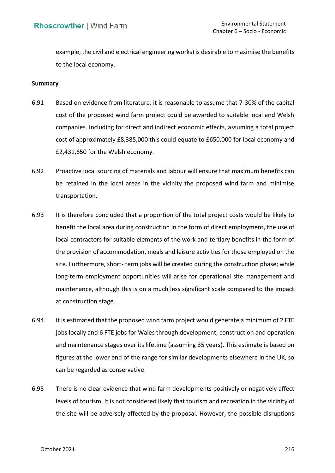example, the civil and electrical engineering works) is desirable to maximise the benefits to the local economy.

### **Summary**

- 6.91 Based on evidence from literature, it is reasonable to assume that 7-30% of the capital cost of the proposed wind farm project could be awarded to suitable local and Welsh companies. Including for direct and indirect economic effects, assuming a total project cost of approximately £8,385,000 this could equate to £650,000 for local economy and £2,431,650 for the Welsh economy.
- 6.92 Proactive local sourcing of materials and labour will ensure that maximum benefits can be retained in the local areas in the vicinity the proposed wind farm and minimise transportation.
- 6.93 It is therefore concluded that a proportion of the total project costs would be likely to benefit the local area during construction in the form of direct employment, the use of local contractors for suitable elements of the work and tertiary benefits in the form of the provision of accommodation, meals and leisure activities for those employed on the site. Furthermore, short- term jobs will be created during the construction phase; while long-term employment opportunities will arise for operational site management and maintenance, although this is on a much less significant scale compared to the impact at construction stage.
- 6.94 It is estimated that the proposed wind farm project would generate a minimum of 2 FTE jobs locally and 6 FTE jobs for Wales through development, construction and operation and maintenance stages over its lifetime (assuming 35 years). This estimate is based on figures at the lower end of the range for similar developments elsewhere in the UK, so can be regarded as conservative.
- 6.95 There is no clear evidence that wind farm developments positively or negatively affect levels of tourism. It is not considered likely that tourism and recreation in the vicinity of the site will be adversely affected by the proposal. However, the possible disruptions